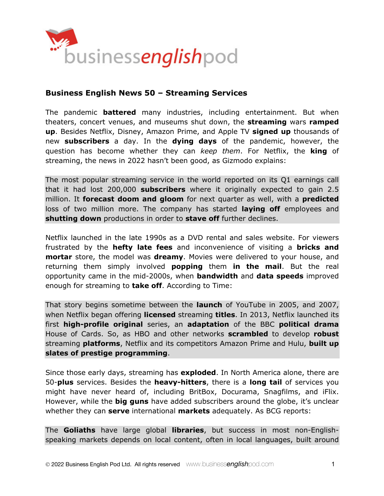

# **Business English News 50 – Streaming Services**

The pandemic **battered** many industries, including entertainment. But when theaters, concert venues, and museums shut down, the **streaming** wars **ramped up**. Besides Netflix, Disney, Amazon Prime, and Apple TV **signed up** thousands of new **subscribers** a day. In the **dying days** of the pandemic, however, the question has become whether they can *keep them*. For Netflix, the **king** of streaming, the news in 2022 hasn't been good, as Gizmodo explains:

The most popular streaming service in the world reported on its Q1 earnings call that it had lost 200,000 **subscribers** where it originally expected to gain 2.5 million. It **forecast doom and gloom** for next quarter as well, with a **predicted** loss of two million more. The company has started **laying off** employees and **shutting down** productions in order to **stave off** further declines.

Netflix launched in the late 1990s as a DVD rental and sales website. For viewers frustrated by the **hefty late fees** and inconvenience of visiting a **bricks and mortar** store, the model was **dreamy**. Movies were delivered to your house, and returning them simply involved **popping** them **in the mail**. But the real opportunity came in the mid-2000s, when **bandwidth** and **data speeds** improved enough for streaming to **take off**. According to Time:

That story begins sometime between the **launch** of YouTube in 2005, and 2007, when Netflix began offering **licensed** streaming **titles**. In 2013, Netflix launched its first **high-profile original** series, an **adaptation** of the BBC **political drama** House of Cards. So, as HBO and other networks **scrambled** to develop **robust** streaming **platforms**, Netflix and its competitors Amazon Prime and Hulu, **built up slates of prestige programming**.

Since those early days, streaming has **exploded**. In North America alone, there are 50-**plus** services. Besides the **heavy-hitters**, there is a **long tail** of services you might have never heard of, including BritBox, Docurama, Snagfilms, and iFlix. However, while the **big guns** have added subscribers around the globe, it's unclear whether they can **serve** international **markets** adequately. As BCG reports:

The **Goliaths** have large global **libraries**, but success in most non-Englishspeaking markets depends on local content, often in local languages, built around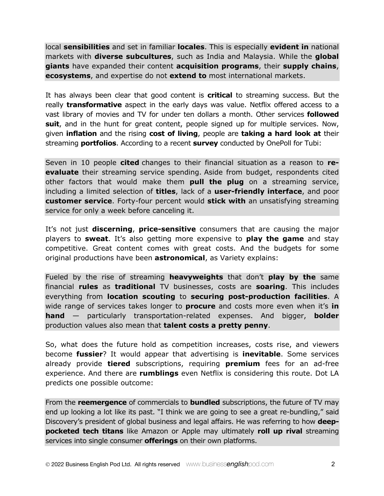local **sensibilities** and set in familiar **locales**. This is especially **evident in** national markets with **diverse subcultures**, such as India and Malaysia. While the **global giants** have expanded their content **acquisition programs**, their **supply chains**, **ecosystems**, and expertise do not **extend to** most international markets.

It has always been clear that good content is **critical** to streaming success. But the really **transformative** aspect in the early days was value. Netflix offered access to a vast library of movies and TV for under ten dollars a month. Other services **followed suit**, and in the hunt for great content, people signed up for multiple services. Now, given **inflation** and the rising **cost of living**, people are **taking a hard look at** their streaming **portfolios**. According to a recent **survey** conducted by OnePoll for Tubi:

Seven in 10 people **cited** changes to their financial situation as a reason to **reevaluate** their streaming service spending. Aside from budget, respondents cited other factors that would make them **pull the plug** on a streaming service, including a limited selection of **titles**, lack of a **user-friendly interface**, and poor **customer service**. Forty-four percent would **stick with** an unsatisfying streaming service for only a week before canceling it.

It's not just **discerning**, **price-sensitive** consumers that are causing the major players to **sweat**. It's also getting more expensive to **play the game** and stay competitive. Great content comes with great costs. And the budgets for some original productions have been **astronomical**, as Variety explains:

Fueled by the rise of streaming **heavyweights** that don't **play by the** same financial **rules** as **traditional** TV businesses, costs are **soaring**. This includes everything from **location scouting** to **securing post-production facilities**. A wide range of services takes longer to **procure** and costs more even when it's **in hand** — particularly transportation-related expenses. And bigger, **bolder** production values also mean that **talent costs a pretty penny**.

So, what does the future hold as competition increases, costs rise, and viewers become **fussier**? It would appear that advertising is **inevitable**. Some services already provide **tiered** subscriptions, requiring **premium** fees for an ad-free experience. And there are **rumblings** even Netflix is considering this route. Dot LA predicts one possible outcome:

From the **reemergence** of commercials to **bundled** subscriptions, the future of TV may end up looking a lot like its past. "I think we are going to see a great re-bundling," said Discovery's president of global business and legal affairs. He was referring to how **deeppocketed tech titans** like Amazon or Apple may ultimately **roll up rival** streaming services into single consumer **offerings** on their own platforms.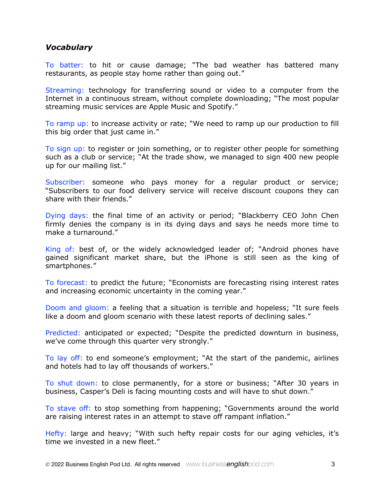### *Vocabulary*

To batter: to hit or cause damage; "The bad weather has battered many restaurants, as people stay home rather than going out."

Streaming: technology for transferring sound or video to a computer from the Internet in a continuous stream, without complete downloading; "The most popular streaming music services are Apple Music and Spotify."

To ramp up: to increase activity or rate; "We need to ramp up our production to fill this big order that just came in."

To sign up: to register or join something, or to register other people for something such as a club or service; "At the trade show, we managed to sign 400 new people up for our mailing list."

Subscriber: someone who pays money for a regular product or service; "Subscribers to our food delivery service will receive discount coupons they can share with their friends."

Dying days: the final time of an activity or period; "Blackberry CEO John Chen firmly denies the company is in its dying days and says he needs more time to make a turnaround."

King of: best of, or the widely acknowledged leader of; "Android phones have gained significant market share, but the iPhone is still seen as the king of smartphones."

To forecast: to predict the future; "Economists are forecasting rising interest rates and increasing economic uncertainty in the coming year."

Doom and gloom: a feeling that a situation is terrible and hopeless; "It sure feels like a doom and gloom scenario with these latest reports of declining sales."

Predicted: anticipated or expected; "Despite the predicted downturn in business, we've come through this quarter very strongly."

To lay off: to end someone's employment; "At the start of the pandemic, airlines and hotels had to lay off thousands of workers."

To shut down: to close permanently, for a store or business; "After 30 years in business, Casper's Deli is facing mounting costs and will have to shut down."

To stave off: to stop something from happening; "Governments around the world are raising interest rates in an attempt to stave off rampant inflation."

Hefty: large and heavy; "With such hefty repair costs for our aging vehicles, it's time we invested in a new fleet."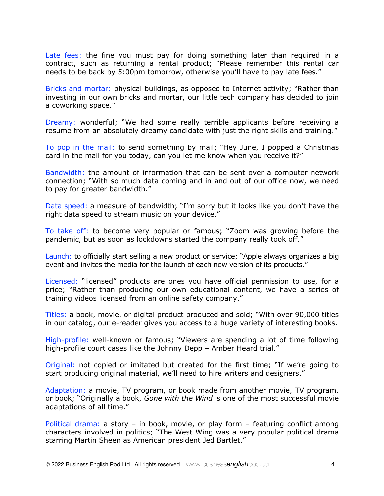Late fees: the fine you must pay for doing something later than required in a contract, such as returning a rental product; "Please remember this rental car needs to be back by 5:00pm tomorrow, otherwise you'll have to pay late fees."

Bricks and mortar: physical buildings, as opposed to Internet activity; "Rather than investing in our own bricks and mortar, our little tech company has decided to join a coworking space."

Dreamy: wonderful; "We had some really terrible applicants before receiving a resume from an absolutely dreamy candidate with just the right skills and training."

To pop in the mail: to send something by mail; "Hey June, I popped a Christmas card in the mail for you today, can you let me know when you receive it?"

Bandwidth: the amount of information that can be sent over a computer network connection; "With so much data coming and in and out of our office now, we need to pay for greater bandwidth."

Data speed: a measure of bandwidth; "I'm sorry but it looks like you don't have the right data speed to stream music on your device."

To take off: to become very popular or famous; "Zoom was growing before the pandemic, but as soon as lockdowns started the company really took off."

Launch: to officially start selling a new product or service; "Apple always organizes a big event and invites the media for the launch of each new version of its products."

Licensed: "licensed" products are ones you have official permission to use, for a price; "Rather than producing our own educational content, we have a series of training videos licensed from an online safety company."

Titles: a book, movie, or digital product produced and sold; "With over 90,000 titles in our catalog, our e-reader gives you access to a huge variety of interesting books.

High-profile: well-known or famous; "Viewers are spending a lot of time following high-profile court cases like the Johnny Depp - Amber Heard trial."

Original: not copied or imitated but created for the first time; "If we're going to start producing original material, we'll need to hire writers and designers."

Adaptation: a movie, TV program, or book made from another movie, TV program, or book; "Originally a book, *Gone with the Wind* is one of the most successful movie adaptations of all time."

Political drama: a story – in book, movie, or play form – featuring conflict among characters involved in politics; "The West Wing was a very popular political drama starring Martin Sheen as American president Jed Bartlet."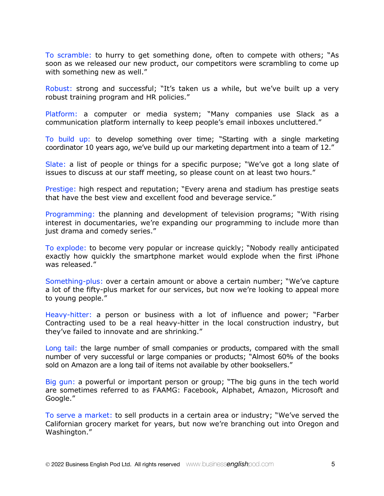To scramble: to hurry to get something done, often to compete with others; "As soon as we released our new product, our competitors were scrambling to come up with something new as well."

Robust: strong and successful; "It's taken us a while, but we've built up a very robust training program and HR policies."

Platform: a computer or media system; "Many companies use Slack as a communication platform internally to keep people's email inboxes uncluttered."

To build up: to develop something over time; "Starting with a single marketing coordinator 10 years ago, we've build up our marketing department into a team of 12."

Slate: a list of people or things for a specific purpose; "We've got a long slate of issues to discuss at our staff meeting, so please count on at least two hours."

Prestige: high respect and reputation; "Every arena and stadium has prestige seats that have the best view and excellent food and beverage service."

Programming: the planning and development of television programs; "With rising interest in documentaries, we're expanding our programming to include more than just drama and comedy series."

To explode: to become very popular or increase quickly; "Nobody really anticipated exactly how quickly the smartphone market would explode when the first iPhone was released."

Something-plus: over a certain amount or above a certain number; "We've capture a lot of the fifty-plus market for our services, but now we're looking to appeal more to young people."

Heavy-hitter: a person or business with a lot of influence and power; "Farber Contracting used to be a real heavy-hitter in the local construction industry, but they've failed to innovate and are shrinking."

Long tail: the large number of small companies or products, compared with the small number of very successful or large companies or products; "Almost 60% of the books sold on Amazon are a long tail of items not available by other booksellers."

Big gun: a powerful or important person or group; "The big guns in the tech world are sometimes referred to as FAAMG: Facebook, Alphabet, Amazon, Microsoft and Google."

To serve a market: to sell products in a certain area or industry; "We've served the Californian grocery market for years, but now we're branching out into Oregon and Washington."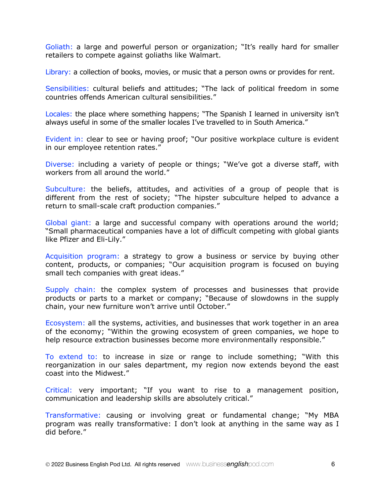Goliath: a large and powerful person or organization; "It's really hard for smaller retailers to compete against goliaths like Walmart.

Library: a collection of books, movies, or music that a person owns or provides for rent.

Sensibilities: cultural beliefs and attitudes; "The lack of political freedom in some countries offends American cultural sensibilities."

Locales: the place where something happens; "The Spanish I learned in university isn't always useful in some of the smaller locales I've travelled to in South America."

Evident in: clear to see or having proof; "Our positive workplace culture is evident in our employee retention rates."

Diverse: including a variety of people or things; "We've got a diverse staff, with workers from all around the world."

Subculture: the beliefs, attitudes, and activities of a group of people that is different from the rest of society; "The hipster subculture helped to advance a return to small-scale craft production companies."

Global giant: a large and successful company with operations around the world; "Small pharmaceutical companies have a lot of difficult competing with global giants like Pfizer and Eli-Lily."

Acquisition program: a strategy to grow a business or service by buying other content, products, or companies; "Our acquisition program is focused on buying small tech companies with great ideas."

Supply chain: the complex system of processes and businesses that provide products or parts to a market or company; "Because of slowdowns in the supply chain, your new furniture won't arrive until October."

Ecosystem: all the systems, activities, and businesses that work together in an area of the economy; "Within the growing ecosystem of green companies, we hope to help resource extraction businesses become more environmentally responsible."

To extend to: to increase in size or range to include something; "With this reorganization in our sales department, my region now extends beyond the east coast into the Midwest."

Critical: very important; "If you want to rise to a management position, communication and leadership skills are absolutely critical."

Transformative: causing or involving great or fundamental change; "My MBA program was really transformative: I don't look at anything in the same way as I did before."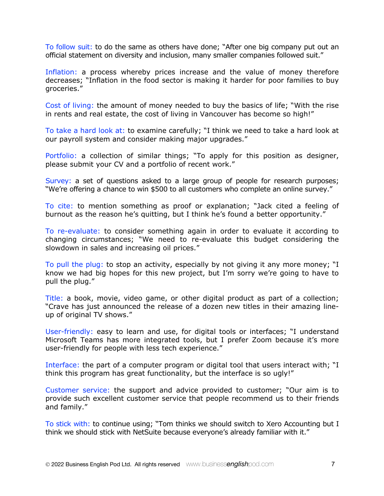To follow suit: to do the same as others have done; "After one big company put out an official statement on diversity and inclusion, many smaller companies followed suit."

Inflation: a process whereby prices increase and the value of money therefore decreases; "Inflation in the food sector is making it harder for poor families to buy groceries."

Cost of living: the amount of money needed to buy the basics of life; "With the rise in rents and real estate, the cost of living in Vancouver has become so high!"

To take a hard look at: to examine carefully; "I think we need to take a hard look at our payroll system and consider making major upgrades."

Portfolio: a collection of similar things; "To apply for this position as designer, please submit your CV and a portfolio of recent work."

Survey: a set of questions asked to a large group of people for research purposes; "We're offering a chance to win \$500 to all customers who complete an online survey."

To cite: to mention something as proof or explanation; "Jack cited a feeling of burnout as the reason he's quitting, but I think he's found a better opportunity."

To re-evaluate: to consider something again in order to evaluate it according to changing circumstances; "We need to re-evaluate this budget considering the slowdown in sales and increasing oil prices."

To pull the plug: to stop an activity, especially by not giving it any more money; "I know we had big hopes for this new project, but I'm sorry we're going to have to pull the plug."

Title: a book, movie, video game, or other digital product as part of a collection; "Crave has just announced the release of a dozen new titles in their amazing lineup of original TV shows."

User-friendly: easy to learn and use, for digital tools or interfaces; "I understand Microsoft Teams has more integrated tools, but I prefer Zoom because it's more user-friendly for people with less tech experience."

Interface: the part of a computer program or digital tool that users interact with; "I think this program has great functionality, but the interface is so ugly!"

Customer service: the support and advice provided to customer; "Our aim is to provide such excellent customer service that people recommend us to their friends and family."

To stick with: to continue using; "Tom thinks we should switch to Xero Accounting but I think we should stick with NetSuite because everyone's already familiar with it."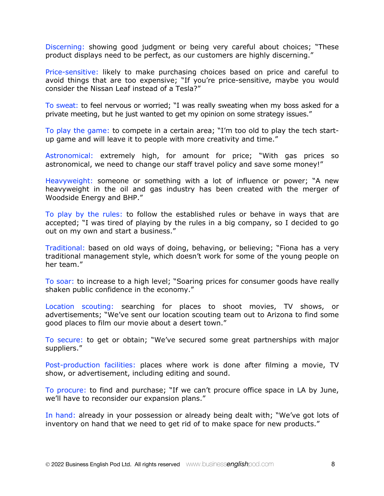Discerning: showing good judgment or being very careful about choices; "These product displays need to be perfect, as our customers are highly discerning."

Price-sensitive: likely to make purchasing choices based on price and careful to avoid things that are too expensive; "If you're price-sensitive, maybe you would consider the Nissan Leaf instead of a Tesla?"

To sweat: to feel nervous or worried; "I was really sweating when my boss asked for a private meeting, but he just wanted to get my opinion on some strategy issues."

To play the game: to compete in a certain area; "I'm too old to play the tech startup game and will leave it to people with more creativity and time."

Astronomical: extremely high, for amount for price; "With gas prices so astronomical, we need to change our staff travel policy and save some money!"

Heavyweight: someone or something with a lot of influence or power; "A new heavyweight in the oil and gas industry has been created with the merger of Woodside Energy and BHP."

To play by the rules: to follow the established rules or behave in ways that are accepted; "I was tired of playing by the rules in a big company, so I decided to go out on my own and start a business."

Traditional: based on old ways of doing, behaving, or believing; "Fiona has a very traditional management style, which doesn't work for some of the young people on her team."

To soar: to increase to a high level; "Soaring prices for consumer goods have really shaken public confidence in the economy."

Location scouting: searching for places to shoot movies, TV shows, or advertisements; "We've sent our location scouting team out to Arizona to find some good places to film our movie about a desert town."

To secure: to get or obtain; "We've secured some great partnerships with major suppliers."

Post-production facilities: places where work is done after filming a movie, TV show, or advertisement, including editing and sound.

To procure: to find and purchase; "If we can't procure office space in LA by June, we'll have to reconsider our expansion plans."

In hand: already in your possession or already being dealt with; "We've got lots of inventory on hand that we need to get rid of to make space for new products."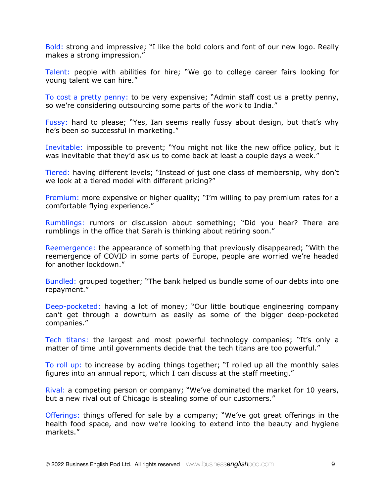Bold: strong and impressive; "I like the bold colors and font of our new logo. Really makes a strong impression."

Talent: people with abilities for hire; "We go to college career fairs looking for young talent we can hire."

To cost a pretty penny: to be very expensive; "Admin staff cost us a pretty penny, so we're considering outsourcing some parts of the work to India."

Fussy: hard to please; "Yes, Ian seems really fussy about design, but that's why he's been so successful in marketing."

Inevitable: impossible to prevent; "You might not like the new office policy, but it was inevitable that they'd ask us to come back at least a couple days a week."

Tiered: having different levels; "Instead of just one class of membership, why don't we look at a tiered model with different pricing?"

Premium: more expensive or higher quality; "I'm willing to pay premium rates for a comfortable flying experience."

Rumblings: rumors or discussion about something; "Did you hear? There are rumblings in the office that Sarah is thinking about retiring soon."

Reemergence: the appearance of something that previously disappeared; "With the reemergence of COVID in some parts of Europe, people are worried we're headed for another lockdown."

Bundled: grouped together; "The bank helped us bundle some of our debts into one repayment."

Deep-pocketed: having a lot of money; "Our little boutique engineering company can't get through a downturn as easily as some of the bigger deep-pocketed companies."

Tech titans: the largest and most powerful technology companies; "It's only a matter of time until governments decide that the tech titans are too powerful."

To roll up: to increase by adding things together; "I rolled up all the monthly sales figures into an annual report, which I can discuss at the staff meeting."

Rival: a competing person or company; "We've dominated the market for 10 years, but a new rival out of Chicago is stealing some of our customers."

Offerings: things offered for sale by a company; "We've got great offerings in the health food space, and now we're looking to extend into the beauty and hygiene markets."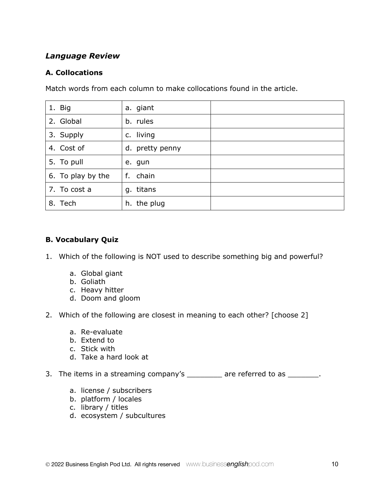# *Language Review*

## **A. Collocations**

Match words from each column to make collocations found in the article.

| 1. Big            | a. giant        |  |
|-------------------|-----------------|--|
| 2. Global         | b. rules        |  |
| 3. Supply         | c. living       |  |
| 4. Cost of        | d. pretty penny |  |
| 5. To pull        | e. gun          |  |
| 6. To play by the | f. chain        |  |
| 7. To cost a      | g. titans       |  |
| 8. Tech           | h. the plug     |  |

# **B. Vocabulary Quiz**

- 1. Which of the following is NOT used to describe something big and powerful?
	- a. Global giant
	- b. Goliath
	- c. Heavy hitter
	- d. Doom and gloom
- 2. Which of the following are closest in meaning to each other? [choose 2]
	- a. Re-evaluate
	- b. Extend to
	- c. Stick with
	- d. Take a hard look at
- 3. The items in a streaming company's \_\_\_\_\_\_\_\_ are referred to as \_\_\_\_\_\_\_.
	- a. license / subscribers
	- b. platform / locales
	- c. library / titles
	- d. ecosystem / subcultures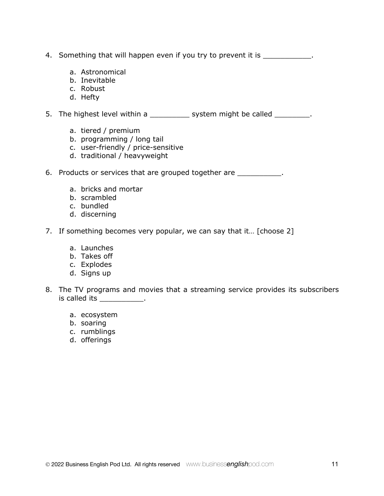- 4. Something that will happen even if you try to prevent it is
	- a. Astronomical
	- b. Inevitable
	- c. Robust
	- d. Hefty

5. The highest level within a \_\_\_\_\_\_\_\_\_\_\_ system might be called \_\_\_\_\_\_\_\_\_.

- a. tiered / premium
- b. programming / long tail
- c. user-friendly / price-sensitive
- d. traditional / heavyweight

6. Products or services that are grouped together are **Fig. 1.** 

- a. bricks and mortar
- b. scrambled
- c. bundled
- d. discerning
- 7. If something becomes very popular, we can say that it... [choose 2]
	- a. Launches
	- b. Takes off
	- c. Explodes
	- d. Signs up
- 8. The TV programs and movies that a streaming service provides its subscribers is called its \_\_\_\_\_\_\_\_\_\_\_\_.
	- a. ecosystem
	- b. soaring
	- c. rumblings
	- d. offerings